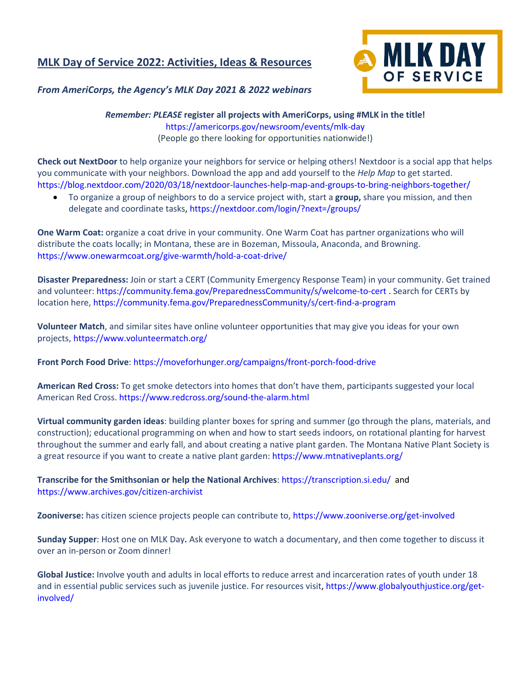## **MLK Day of Service 2022: Activities, Ideas & Resources**



## *From AmeriCorps, the Agency's MLK Day 2021 & 2022 webinars*

*Remember: PLEASE* **register all projects with AmeriCorps, using #MLK in the title!** [https://americorps.gov/newsroom/events/mlk-day](https://americorps.gov/newsroom/events/mlk-day#:~:text=Register%20a%20volunteer%20opportunity) (People go there looking for opportunities nationwide!)

**Check out NextDoor** to help organize your neighbors for service or helping others! Nextdoor is a social app that helps you communicate with your neighbors. Download the app and add yourself to the *Help Map* to get started. <https://blog.nextdoor.com/2020/03/18/nextdoor-launches-help-map-and-groups-to-bring-neighbors-together/>

• To organize a group of neighbors to do a service project with, start a **group,** share you mission, and then delegate and coordinate tasks[, https://nextdoor.com/login/?next=/groups/](https://nextdoor.com/login/?next=/groups/)

**One Warm Coat:** organize a coat drive in your community. One Warm Coat has partner organizations who will distribute the coats locally; in Montana, these are in Bozeman, Missoula, Anaconda, and Browning. <https://www.onewarmcoat.org/give-warmth/hold-a-coat-drive/>

**Disaster Preparedness:** Join or start a CERT (Community Emergency Response Team) in your community. Get trained and volunteer:<https://community.fema.gov/PreparednessCommunity/s/welcome-to-cert> . Search for CERTs by location here[, https://community.fema.gov/PreparednessCommunity/s/cert-find-a-program](https://community.fema.gov/PreparednessCommunity/s/cert-find-a-program)

**Volunteer Match**, and similar sites have online volunteer opportunities that may give you ideas for your own projects[, https://www.volunteermatch.org/](https://www.volunteermatch.org/)

**Front Porch Food Drive**:<https://moveforhunger.org/campaigns/front-porch-food-drive>

**American Red Cross:** To get smoke detectors into homes that don't have them, participants suggested your local American Red Cross[. https://www.redcross.org/sound-the-alarm.html](https://www.redcross.org/sound-the-alarm.html)

**Virtual community garden ideas**: building planter boxes for spring and summer (go through the plans, materials, and construction); educational programming on when and how to start seeds indoors, on rotational planting for harvest throughout the summer and early fall, and about creating a native plant garden. The Montana Native Plant Society is a great resource if you want to create a native plant garden:<https://www.mtnativeplants.org/>

**Transcribe for the Smithsonian or help the National Archives**:<https://transcription.si.edu/> and <https://www.archives.gov/citizen-archivist>

**Zooniverse:** has citizen science projects people can contribute to,<https://www.zooniverse.org/get-involved>

**Sunday Supper**: Host one on MLK Day**.** Ask everyone to watch a documentary, and then come together to discuss it over an in-person or Zoom dinner!

**Global Justice:** Involve youth and adults in local efforts to reduce arrest and incarceration rates of youth under 18 and in essential public services such as juvenile justice. For resources visit, [https://www.globalyouthjustice.org/get](https://www.globalyouthjustice.org/get-involved/)[involved/](https://www.globalyouthjustice.org/get-involved/)